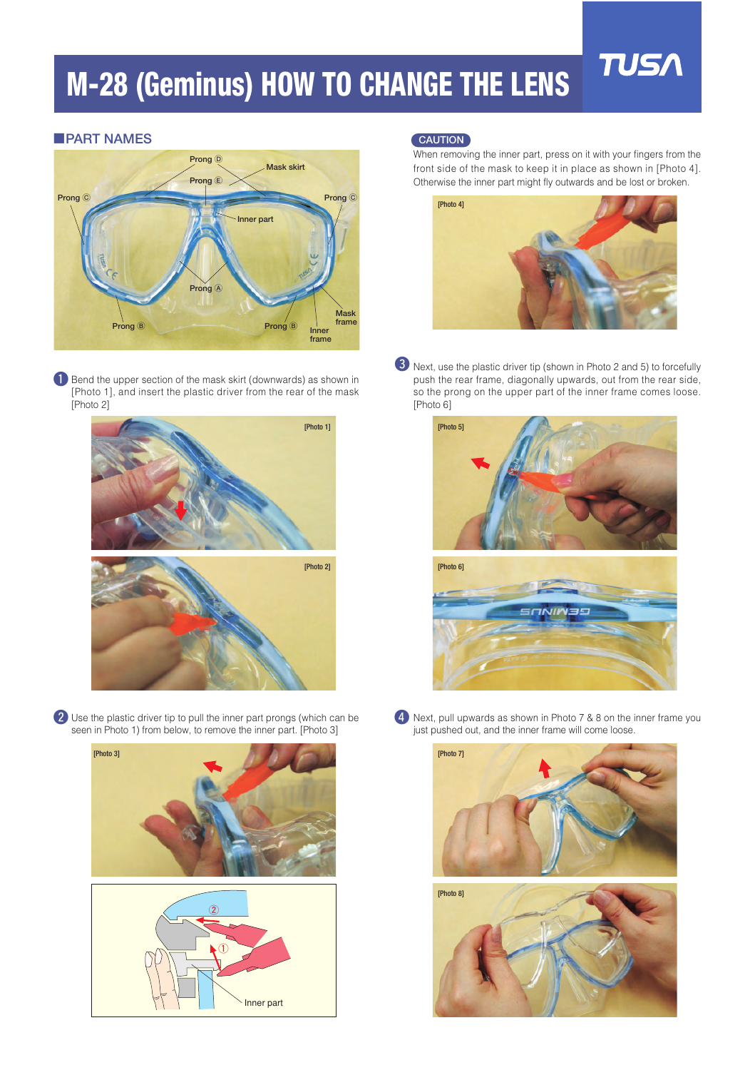## **M-28 (Geminus) HOW TO CHANGE THE LENS**

## ■**PART NAMES**



**the Bend the upper section of the mask skirt (downwards) as shown in** [Photo 1], and insert the plastic driver from the rear of the mask [Photo 2]



<sup>2</sup> Use the plastic driver tip to pull the inner part prongs (which can be seen in Photo 1) from below, to remove the inner part. [Photo 3]



## **CAUTION**

When removing the inner part, press on it with your fingers from the front side of the mask to keep it in place as shown in [Photo 4]. Otherwise the inner part might fly outwards and be lost or broken.

**TUS/** 



**3** Next, use the plastic driver tip (shown in Photo 2 and 5) to forcefully push the rear frame, diagonally upwards, out from the rear side, so the prong on the upper part of the inner frame comes loose. [Photo 6]





**4** Next, pull upwards as shown in Photo 7 & 8 on the inner frame you just pushed out, and the inner frame will come loose.